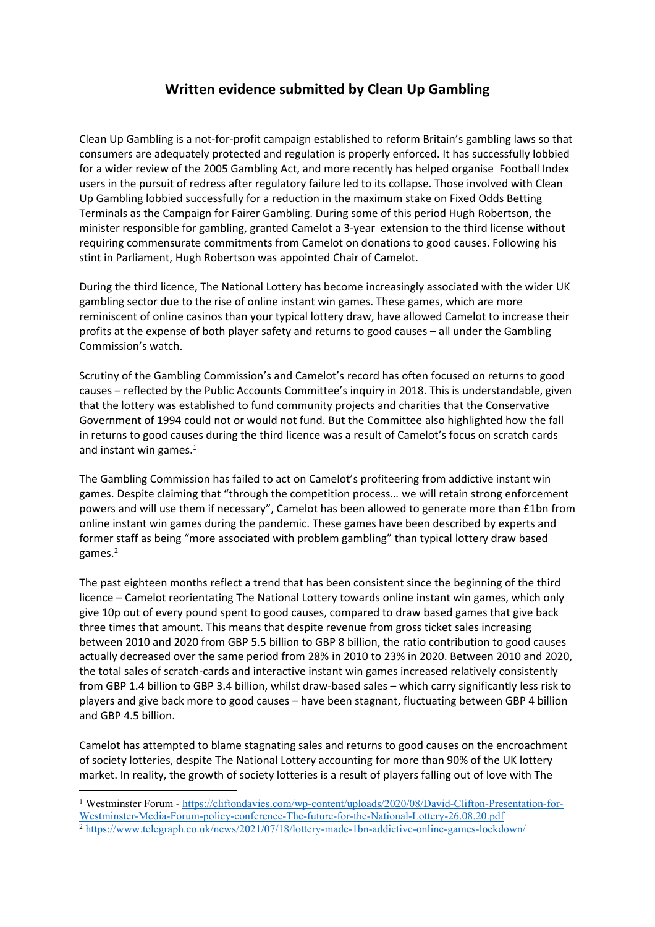## **Written evidence submitted by Clean Up Gambling**

Clean Up Gambling is a not-for-profit campaign established to reform Britain's gambling laws so that consumers are adequately protected and regulation is properly enforced. It has successfully lobbied for a wider review of the 2005 Gambling Act, and more recently has helped organise Football Index users in the pursuit of redress after regulatory failure led to its collapse. Those involved with Clean Up Gambling lobbied successfully for a reduction in the maximum stake on Fixed Odds Betting Terminals as the Campaign for Fairer Gambling. During some of this period Hugh Robertson, the minister responsible for gambling, granted Camelot a 3-year extension to the third license without requiring commensurate commitments from Camelot on donations to good causes. Following his stint in Parliament, Hugh Robertson was appointed Chair of Camelot.

During the third licence, The National Lottery has become increasingly associated with the wider UK gambling sector due to the rise of online instant win games. These games, which are more reminiscent of online casinos than your typical lottery draw, have allowed Camelot to increase their profits at the expense of both player safety and returns to good causes – all under the Gambling Commission's watch.

Scrutiny of the Gambling Commission's and Camelot's record has often focused on returns to good causes – reflected by the Public Accounts Committee's inquiry in 2018. This is understandable, given that the lottery was established to fund community projects and charities that the Conservative Government of 1994 could not or would not fund. But the Committee also highlighted how the fall in returns to good causes during the third licence was a result of Camelot's focus on scratch cards and instant win games.<sup>1</sup>

The Gambling Commission has failed to act on Camelot's profiteering from addictive instant win games. Despite claiming that "through the competition process… we will retain strong enforcement powers and will use them if necessary", Camelot has been allowed to generate more than £1bn from online instant win games during the pandemic. These games have been described by experts and former staff as being "more associated with problem gambling" than typical lottery draw based games.<sup>2</sup>

The past eighteen months reflect a trend that has been consistent since the beginning of the third licence – Camelot reorientating The National Lottery towards online instant win games, which only give 10p out of every pound spent to good causes, compared to draw based games that give back three times that amount. This means that despite revenue from gross ticket sales increasing between 2010 and 2020 from GBP 5.5 billion to GBP 8 billion, the ratio contribution to good causes actually decreased over the same period from 28% in 2010 to 23% in 2020. Between 2010 and 2020, the total sales of scratch-cards and interactive instant win games increased relatively consistently from GBP 1.4 billion to GBP 3.4 billion, whilst draw-based sales – which carry significantly less risk to players and give back more to good causes – have been stagnant, fluctuating between GBP 4 billion and GBP 4.5 billion.

Camelot has attempted to blame stagnating sales and returns to good causes on the encroachment of society lotteries, despite The National Lottery accounting for more than 90% of the UK lottery market. In reality, the growth of society lotteries is a result of players falling out of love with The

<sup>1</sup> Westminster Forum - [https://cliftondavies.com/wp-content/uploads/2020/08/David-Clifton-Presentation-for-](https://cliftondavies.com/wp-content/uploads/2020/08/David-Clifton-Presentation-for-Westminster-Media-Forum-policy-conference-The-future-for-the-National-Lottery-26.08.20.pdf)[Westminster-Media-Forum-policy-conference-The-future-for-the-National-Lottery-26.08.20.pdf](https://cliftondavies.com/wp-content/uploads/2020/08/David-Clifton-Presentation-for-Westminster-Media-Forum-policy-conference-The-future-for-the-National-Lottery-26.08.20.pdf) <sup>2</sup> <https://www.telegraph.co.uk/news/2021/07/18/lottery-made-1bn-addictive-online-games-lockdown/>